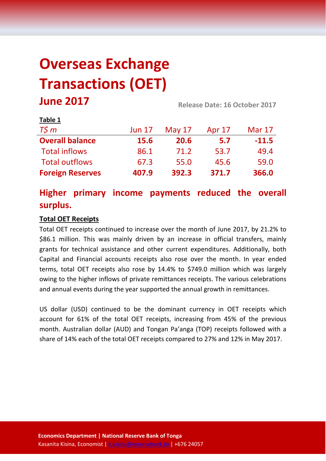# **Overseas Exchange Transactions (OET) June 2017 Release Date: 16 October 2017**

| LANIC T                 |               |          |        |               |
|-------------------------|---------------|----------|--------|---------------|
| $T\zeta m$              | <b>Jun 17</b> | May $17$ | Apr 17 | <b>Mar 17</b> |
| <b>Overall balance</b>  | 15.6          | 20.6     | 5.7    | $-11.5$       |
| <b>Total inflows</b>    | 86.1          | 71.2     | 53.7   | 49.4          |
| <b>Total outflows</b>   | 67.3          | 55.0     | 45.6   | 59.0          |
| <b>Foreign Reserves</b> | 407.9         | 392.3    | 371.7  | 366.0         |

## **Higher primary income payments reduced the overall surplus.**

### **Total OET Receipts**

**Table 1**

Total OET receipts continued to increase over the month of June 2017, by 21.2% to \$86.1 million. This was mainly driven by an increase in official transfers, mainly grants for technical assistance and other current expenditures. Additionally, both Capital and Financial accounts receipts also rose over the month. In year ended terms, total OET receipts also rose by 14.4% to \$749.0 million which was largely owing to the higher inflows of private remittances receipts. The various celebrations and annual events during the year supported the annual growth in remittances.

US dollar (USD) continued to be the dominant currency in OET receipts which account for 61% of the total OET receipts, increasing from 45% of the previous month. Australian dollar (AUD) and Tongan Pa'anga (TOP) receipts followed with a share of 14% each of the total OET receipts compared to 27% and 12% in May 2017.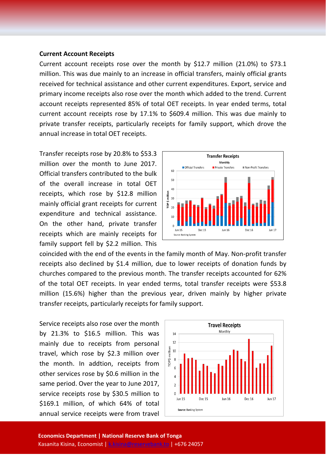#### **Current Account Receipts**

Current account receipts rose over the month by \$12.7 million (21.0%) to \$73.1 million. This was due mainly to an increase in official transfers, mainly official grants received for technical assistance and other current expenditures. Export, service and primary income receipts also rose over the month which added to the trend. Current account receipts represented 85% of total OET receipts. In year ended terms, total current account receipts rose by 17.1% to \$609.4 million. This was due mainly to private transfer receipts, particularly receipts for family support, which drove the annual increase in total OET receipts.

Transfer receipts rose by 20.8% to \$53.3 million over the month to June 2017. Official transfers contributed to the bulk of the overall increase in total OET receipts, which rose by \$12.8 million mainly official grant receipts for current expenditure and technical assistance. On the other hand, private transfer receipts which are mainly receipts for family support fell by \$2.2 million. This



coincided with the end of the events in the family month of May. Non-profit transfer receipts also declined by \$1.4 million, due to lower receipts of donation funds by churches compared to the previous month. The transfer receipts accounted for 62% of the total OET receipts. In year ended terms, total transfer receipts were \$53.8 million (15.6%) higher than the previous year, driven mainly by higher private transfer receipts, particularly receipts for family support.

Service receipts also rose over the month by 21.3% to \$16.5 million. This was mainly due to receipts from personal travel, which rose by \$2.3 million over the month. In addtion, receipts from other services rose by \$0.6 million in the same period. Over the year to June 2017, service receipts rose by \$30.5 million to \$169.1 million, of which 64% of total annual service receipts were from travel

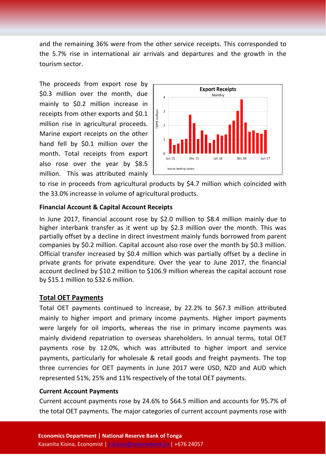and the remaining 36% were from the other service receipts. This corresponded to the 5.7% rise in international air arrivals and departures and the growth in the tourism sector.

The proceeds from export rose by \$0.3 million over the month, due mainly to \$0.2 million increase in receipts from other exports and \$0.1 million rise in agricultural proceeds. Marine export receipts on the other hand fell by \$0.1 million over the month. Total receipts from export also rose over the year by \$8.5 million. This was attributed mainly



to rise in proceeds from agricultural products by \$4.7 million which coincided with the 33.0% increasse in volume of agricultural products.

#### **Financial Account & Capital Account Receipts**

In June 2017, financial account rose by \$2.0 million to \$8.4 million mainly due to higher interbank transfer as it went up by \$2.3 million over the month. This was partially offset by a decline in direct investment mainly funds borrowed from parent companies by \$0.2 million. Capital account also rose over the month by \$0.3 million. Official transfer increased by \$0.4 million which was partially offset by a decline in private grants for private expenditure. Over the year to June 2017, the financial account declined by \$10.2 million to \$106.9 million whereas the capital account rose by \$15.1 million to \$32.6 million.

#### **Total OET Payments**

Total OET payments continued to increase, by 22.2% to \$67.3 million attributed mainly to higher import and primary income payments. Higher import payments were largely for oil imports, whereas the rise in primary income payments was mainly dividend repatriation to overseas shareholders. In annual terms, total OET payments rose by 12.0%, which was attributed to higher import and service payments, particularly for wholesale & retail goods and freight payments. The top three currencies for OET payments in June 2017 were USD, NZD and AUD which represented 51%, 25% and 11% respectively of the total OET payments.

#### **Current Account Payments**

Current account payments rose by 24.6% to \$64.5 million and accounts for 95.7% of the total OET payments. The major categories of current account payments rose with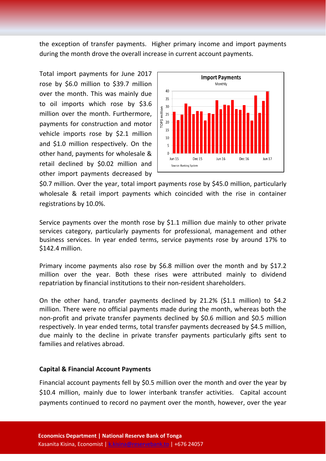the exception of transfer payments. Higher primary income and import payments during the month drove the overall increase in current account payments.

Total import payments for June 2017 rose by \$6.0 million to \$39.7 million over the month. This was mainly due to oil imports which rose by \$3.6 million over the month. Furthermore, payments for construction and motor vehicle imports rose by \$2.1 million and \$1.0 million respectively. On the other hand, payments for wholesale & retail declined by \$0.02 million and other import payments decreased by



\$0.7 million. Over the year, total import payments rose by \$45.0 million, particularly wholesale & retail import payments which coincided with the rise in container registrations by 10.0%.

Service payments over the month rose by \$1.1 million due mainly to other private services category, particularly payments for professional, management and other business services. In year ended terms, service payments rose by around 17% to \$142.4 million.

Primary income payments also rose by \$6.8 million over the month and by \$17.2 million over the year. Both these rises were attributed mainly to dividend repatriation by financial institutions to their non-resident shareholders.

On the other hand, transfer payments declined by 21.2% (\$1.1 million) to \$4.2 million. There were no official payments made during the month, whereas both the non-profit and private transfer payments declined by \$0.6 million and \$0.5 million respectively. In year ended terms, total transfer payments decreased by \$4.5 million, due mainly to the decline in private transfer payments particularly gifts sent to families and relatives abroad.

#### **Capital & Financial Account Payments**

Financial account payments fell by \$0.5 million over the month and over the year by \$10.4 million, mainly due to lower interbank transfer activities. Capital account payments continued to record no payment over the month, however, over the year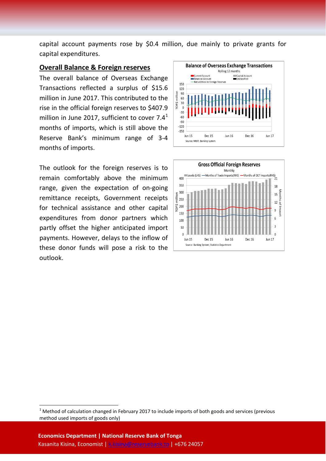capital account payments rose by \$0.4 million, due mainly to private grants for capital expenditures.

#### **Overall Balance & Foreign reserves**

The overall balance of Overseas Exchange Transactions reflected a surplus of \$15.6 million in June 2017. This contributed to the rise in the official foreign reserves to \$407.9 million in June 20[1](#page-4-0)7, sufficient to cover  $7.4<sup>1</sup>$ months of imports, which is still above the Reserve Bank's minimum range of 3-4 months of imports.

The outlook for the foreign reserves is to remain comfortably above the minimum range, given the expectation of on-going remittance receipts, Government receipts for technical assistance and other capital expenditures from donor partners which partly offset the higher anticipated import payments. However, delays to the inflow of these donor funds will pose a risk to the outlook.





<span id="page-4-0"></span> $1$  Method of calculation changed in February 2017 to include imports of both goods and services (previous method used imports of goods only)